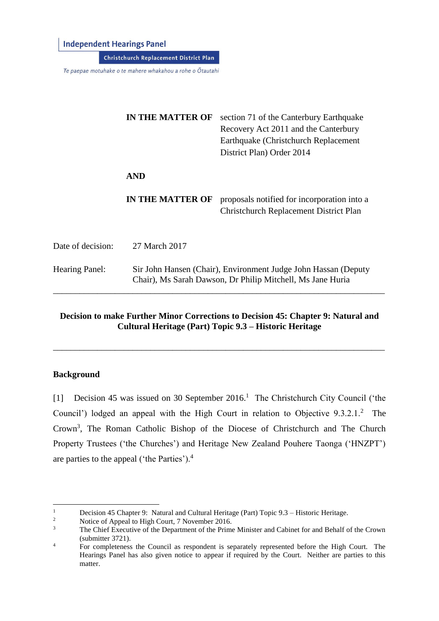**Independent Hearings Panel** 

Christchurch Replacement District Plan

Te paepae motuhake o te mahere whakahou a rohe o Ōtautahi

|                       | <b>IN THE MATTER OF</b>                                                                                                      | section 71 of the Canterbury Earthquake<br>Recovery Act 2011 and the Canterbury<br>Earthquake (Christchurch Replacement<br>District Plan) Order 2014 |
|-----------------------|------------------------------------------------------------------------------------------------------------------------------|------------------------------------------------------------------------------------------------------------------------------------------------------|
|                       | <b>AND</b>                                                                                                                   |                                                                                                                                                      |
|                       | IN THE MATTER OF                                                                                                             | proposals notified for incorporation into a<br><b>Christchurch Replacement District Plan</b>                                                         |
| Date of decision:     | 27 March 2017                                                                                                                |                                                                                                                                                      |
| <b>Hearing Panel:</b> | Sir John Hansen (Chair), Environment Judge John Hassan (Deputy<br>Chair), Ms Sarah Dawson, Dr Philip Mitchell, Ms Jane Huria |                                                                                                                                                      |

## **Decision to make Further Minor Corrections to Decision 45: Chapter 9: Natural and Cultural Heritage (Part) Topic 9.3 – Historic Heritage**

\_\_\_\_\_\_\_\_\_\_\_\_\_\_\_\_\_\_\_\_\_\_\_\_\_\_\_\_\_\_\_\_\_\_\_\_\_\_\_\_\_\_\_\_\_\_\_\_\_\_\_\_\_\_\_\_\_\_\_\_\_\_\_\_\_\_\_\_\_\_\_\_\_\_\_

## **Background**

[1] Decision 45 was issued on 30 September 2016.<sup>1</sup> The Christchurch City Council ('the Council') lodged an appeal with the High Court in relation to Objective 9.3.2.1.<sup>2</sup> The Crown<sup>3</sup>, The Roman Catholic Bishop of the Diocese of Christchurch and The Church Property Trustees ('the Churches') and Heritage New Zealand Pouhere Taonga ('HNZPT') are parties to the appeal ('the Parties').<sup>4</sup>

 $\,1\,$ <sup>1</sup> Decision 45 Chapter 9: Natural and Cultural Heritage (Part) Topic 9.3 – Historic Heritage.<br><sup>2</sup> Notice of Anneal to High Court 7 November 2016

 $\frac{2}{3}$  Notice of Appeal to High Court, 7 November 2016.

<sup>3</sup> The Chief Executive of the Department of the Prime Minister and Cabinet for and Behalf of the Crown (submitter 3721).

<sup>&</sup>lt;sup>4</sup> For completeness the Council as respondent is separately represented before the High Court. The Hearings Panel has also given notice to appear if required by the Court. Neither are parties to this matter.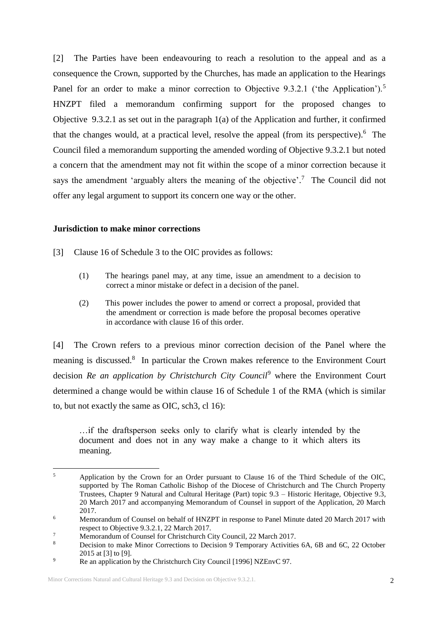[2] The Parties have been endeavouring to reach a resolution to the appeal and as a consequence the Crown, supported by the Churches, has made an application to the Hearings Panel for an order to make a minor correction to Objective 9.3.2.1 ('the Application').<sup>5</sup> HNZPT filed a memorandum confirming support for the proposed changes to Objective 9.3.2.1 as set out in the paragraph 1(a) of the Application and further, it confirmed that the changes would, at a practical level, resolve the appeal (from its perspective). 6 The Council filed a memorandum supporting the amended wording of Objective 9.3.2.1 but noted a concern that the amendment may not fit within the scope of a minor correction because it says the amendment 'arguably alters the meaning of the objective'.<sup>7</sup> The Council did not offer any legal argument to support its concern one way or the other.

## **Jurisdiction to make minor corrections**

[3] Clause 16 of Schedule 3 to the OIC provides as follows:

- (1) The hearings panel may, at any time, issue an amendment to a decision to correct a minor mistake or defect in a decision of the panel.
- (2) This power includes the power to amend or correct a proposal, provided that the amendment or correction is made before the proposal becomes operative in accordance with clause 16 of this order.

[4] The Crown refers to a previous minor correction decision of the Panel where the meaning is discussed.<sup>8</sup> In particular the Crown makes reference to the Environment Court decision *Re an application by Christchurch City Council*<sup>9</sup> where the Environment Court determined a change would be within clause 16 of Schedule 1 of the RMA (which is similar to, but not exactly the same as OIC, sch3, cl 16):

…if the draftsperson seeks only to clarify what is clearly intended by the document and does not in any way make a change to it which alters its meaning.

 $\overline{\mathbf{5}}$ <sup>5</sup> Application by the Crown for an Order pursuant to Clause 16 of the Third Schedule of the OIC, supported by The Roman Catholic Bishop of the Diocese of Christchurch and The Church Property Trustees, Chapter 9 Natural and Cultural Heritage (Part) topic 9.3 – Historic Heritage, Objective 9.3, 20 March 2017 and accompanying Memorandum of Counsel in support of the Application, 20 March 2017.

<sup>&</sup>lt;sup>6</sup> Memorandum of Counsel on behalf of HNZPT in response to Panel Minute dated 20 March 2017 with respect to Objective 9.3.2.1, 22 March 2017.

<sup>&</sup>lt;sup>7</sup><br>Memorandum of Counsel for Christchurch City Council, 22 March 2017.

<sup>8</sup> Decision to make Minor Corrections to Decision 9 Temporary Activities 6A, 6B and 6C, 22 October 2015 at [3] to [9].

<sup>&</sup>lt;sup>9</sup> Re an application by the Christchurch City Council [1996] NZEnvC 97.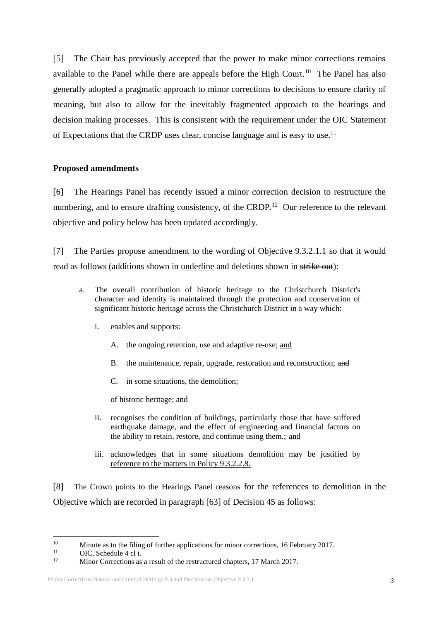[5] The Chair has previously accepted that the power to make minor corrections remains available to the Panel while there are appeals before the High Court.<sup>10</sup> The Panel has also generally adopted a pragmatic approach to minor corrections to decisions to ensure clarity of meaning, but also to allow for the inevitably fragmented approach to the hearings and decision making processes. This is consistent with the requirement under the OIC Statement of Expectations that the CRDP uses clear, concise language and is easy to use.<sup>11</sup>

## **Proposed amendments**

[6] The Hearings Panel has recently issued a minor correction decision to restructure the numbering, and to ensure drafting consistency, of the CRDP.<sup>12</sup> Our reference to the relevant objective and policy below has been updated accordingly.

[7] The Parties propose amendment to the wording of Objective 9.3.2.1.1 so that it would read as follows (additions shown in underline and deletions shown in strike out):

- a. The overall contribution of historic heritage to the Christchurch District's character and identity is maintained through the protection and conservation of significant historic heritage across the Christchurch District in a way which:
	- i. enables and supports:
		- A. the ongoing retention, use and adaptive re-use; and
		- B. the maintenance, repair, upgrade, restoration and reconstruction; and
		- C. in some situations, the demolition;

of historic heritage; and

- ii. recognises the condition of buildings, particularly those that have suffered earthquake damage, and the effect of engineering and financial factors on the ability to retain, restore, and continue using them.; and
- iii. acknowledges that in some situations demolition may be justified by reference to the matters in Policy 9.3.2.2.8.

[8] The Crown points to the Hearings Panel reasons for the references to demolition in the Objective which are recorded in paragraph [63] of Decision 45 as follows:

1

<sup>&</sup>lt;sup>10</sup> Minute as to the filing of further applications for minor corrections, 16 February 2017.

<sup>&</sup>lt;sup>11</sup> OIC, Schedule 4 cl i.

<sup>12</sup> Minor Corrections as a result of the restructured chapters, 17 March 2017.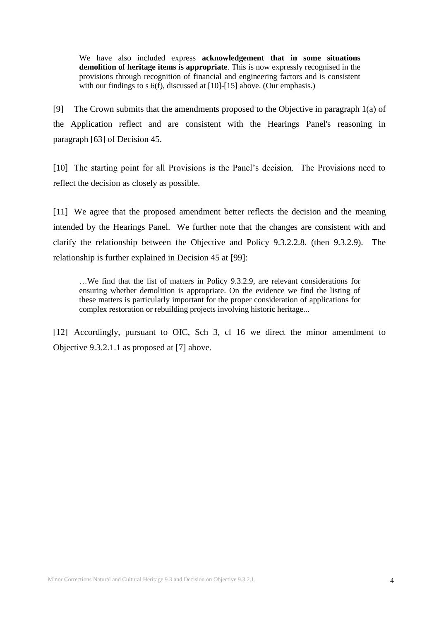We have also included express **acknowledgement that in some situations demolition of heritage items is appropriate**. This is now expressly recognised in the provisions through recognition of financial and engineering factors and is consistent with our findings to s  $6(f)$ , discussed at [10]-[15] above. (Our emphasis.)

[9] The Crown submits that the amendments proposed to the Objective in paragraph 1(a) of the Application reflect and are consistent with the Hearings Panel's reasoning in paragraph [63] of Decision 45.

[10] The starting point for all Provisions is the Panel's decision. The Provisions need to reflect the decision as closely as possible.

[11] We agree that the proposed amendment better reflects the decision and the meaning intended by the Hearings Panel. We further note that the changes are consistent with and clarify the relationship between the Objective and Policy 9.3.2.2.8. (then 9.3.2.9). The relationship is further explained in Decision 45 at [99]:

…We find that the list of matters in Policy 9.3.2.9, are relevant considerations for ensuring whether demolition is appropriate. On the evidence we find the listing of these matters is particularly important for the proper consideration of applications for complex restoration or rebuilding projects involving historic heritage...

[12] Accordingly, pursuant to OIC, Sch 3, cl 16 we direct the minor amendment to Objective 9.3.2.1.1 as proposed at [7] above.